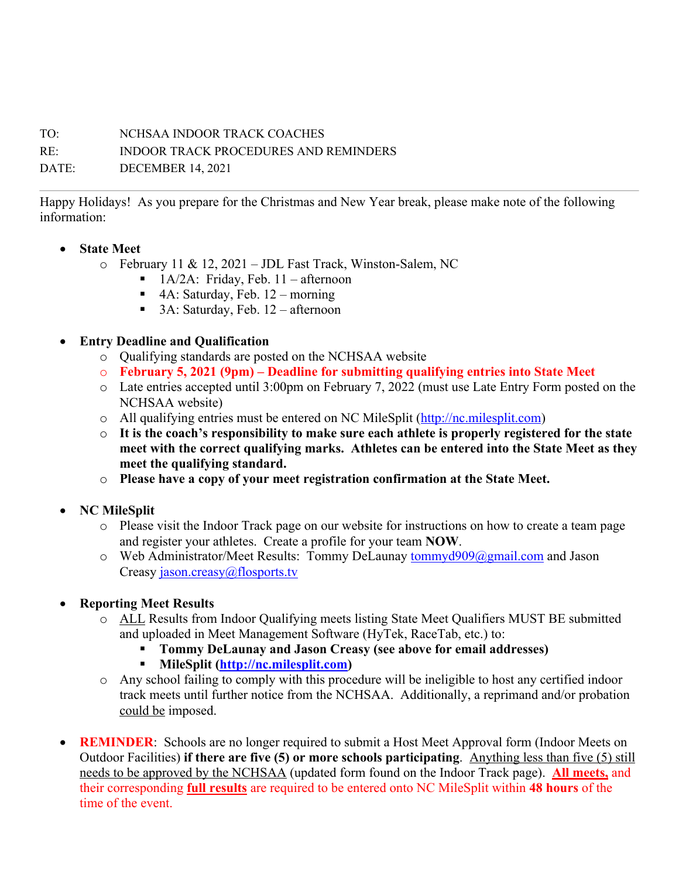## TO: NCHSAA INDOOR TRACK COACHES

RE: INDOOR TRACK PROCEDURES AND REMINDERS

DATE: DECEMBER 14, 2021

Happy Holidays! As you prepare for the Christmas and New Year break, please make note of the following information:

- **State Meet**
	- o February 11 & 12, 2021 JDL Fast Track, Winston-Salem, NC
		- $\blacksquare$  1A/2A: Friday, Feb. 11 afternoon
		- 4A: Saturday, Feb. 12 morning
		- 3A: Saturday, Feb. 12 afternoon
- **Entry Deadline and Qualification**
	- o Qualifying standards are posted on the NCHSAA website
	- o **February 5, 2021 (9pm) – Deadline for submitting qualifying entries into State Meet**
	- o Late entries accepted until 3:00pm on February 7, 2022 (must use Late Entry Form posted on the NCHSAA website)
	- o All qualifying entries must be entered on NC MileSplit (http://nc.milesplit.com)
	- o **It is the coach's responsibility to make sure each athlete is properly registered for the state meet with the correct qualifying marks. Athletes can be entered into the State Meet as they meet the qualifying standard.**
	- o **Please have a copy of your meet registration confirmation at the State Meet.**
- **NC MileSplit**
	- o Please visit the Indoor Track page on our website for instructions on how to create a team page and register your athletes. Create a profile for your team **NOW**.
	- o Web Administrator/Meet Results: Tommy DeLaunay tommyd909@gmail.com and Jason Creasy jason.creasy@flosports.tv
- **Reporting Meet Results**
	- o ALL Results from Indoor Qualifying meets listing State Meet Qualifiers MUST BE submitted and uploaded in Meet Management Software (HyTek, RaceTab, etc.) to:
		- § **Tommy DeLaunay and Jason Creasy (see above for email addresses)**
		- § **MileSplit (http://nc.milesplit.com)**
	- o Any school failing to comply with this procedure will be ineligible to host any certified indoor track meets until further notice from the NCHSAA. Additionally, a reprimand and/or probation could be imposed.
- **REMINDER**: Schools are no longer required to submit a Host Meet Approval form (Indoor Meets on Outdoor Facilities) **if there are five (5) or more schools participating**. Anything less than five (5) still needs to be approved by the NCHSAA (updated form found on the Indoor Track page). **All meets,** and their corresponding **full results** are required to be entered onto NC MileSplit within **48 hours** of the time of the event.